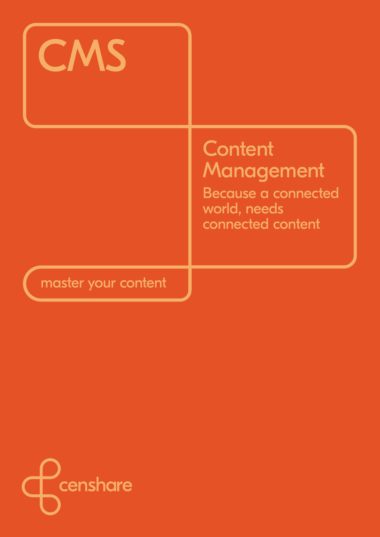# **CMS Content** Management Because a connected world, needs connected content

# master your content

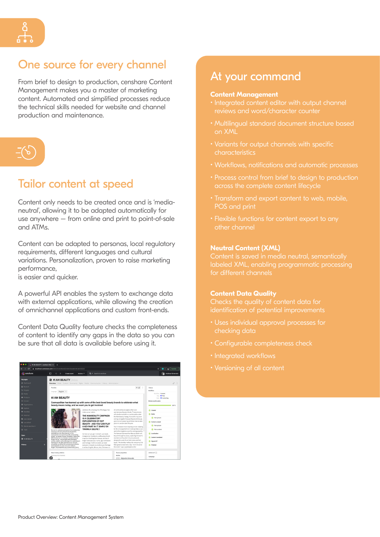## One source for every channel

From brief to design to production, censhare Content Management makes you a master of marketing content. Automated and simplified processes reduce the technical skills needed for website and channel production and maintenance.



# Tailor content at speed

Content only needs to be created once and is 'medianeutral', allowing it to be adapted automatically for use anywhere – from online and print to point-of-sale and ATMs.

Content can be adapted to personas, local regulatory requirements, different languages and cultural variations. Personalization, proven to raise marketing performance,

is easier and quicker.

A powerful API enables the system to exchange data with external applications, while allowing the creation of omnichannel applications and custom front-ends.

Content Data Quality feature checks the completeness of content to identify any gaps in the data so you can be sure that all data is available before using it.



## At your command

#### **Content Management**

- Integrated content editor with output channel reviews and word/character counter
- Multilingual standard document structure based on XML
- Variants for output channels with specific characteristics
- Workflows, notifications and automatic processes
- Process control from brief to design to production across the complete content lifecycle
- Transform and export content to web, mobile, POS and print
- Flexible functions for content export to any other channel

#### **Neutral Content (XML)**

Content is saved in media neutral, semantically labeled XML, enabling programmatic processing for different channels

#### **Content Data Quality**

Checks the quality of content data for identification of potential improvements

- Uses individual approval processes for checking data
- Configurable completeness check
- Integrated workflows
- Versioning of all content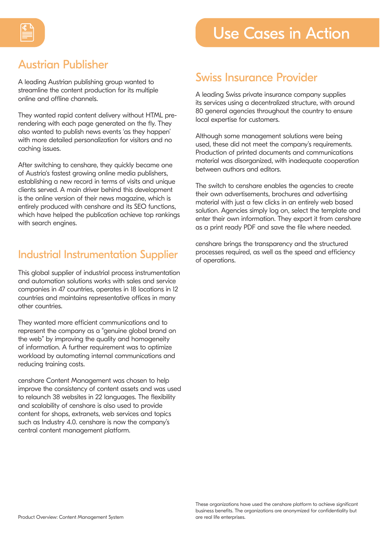

# Austrian Publisher

A leading Austrian publishing group wanted to streamline the content production for its multiple online and offline channels.

They wanted rapid content delivery without HTML prerendering with each page generated on the fly. They also wanted to publish news events 'as they happen' with more detailed personalization for visitors and no caching issues.

After switching to censhare, they quickly became one of Austria's fastest growing online media publishers, establishing a new record in terms of visits and unique clients served. A main driver behind this development is the online version of their news magazine, which is entirely produced with censhare and its SEO functions, which have helped the publication achieve top rankings with search engines.

## Industrial Instrumentation Supplier

This global supplier of industrial process instrumentation and automation solutions works with sales and service companies in 47 countries, operates in 18 locations in 12 countries and maintains representative offices in many other countries.

They wanted more efficient communications and to represent the company as a "genuine global brand on the web" by improving the quality and homogeneity of information. A further requirement was to optimize workload by automating internal communications and reducing training costs.

censhare Content Management was chosen to help improve the consistency of content assets and was used to relaunch 38 websites in 22 languages. The flexibility and scalability of censhare is also used to provide content for shops, extranets, web services and topics such as Industry 4.0. censhare is now the company's central content management platform.

## Swiss Insurance Provider

A leading Swiss private insurance company supplies its services using a decentralized structure, with around 80 general agencies throughout the country to ensure local expertise for customers.

Although some management solutions were being used, these did not meet the company's requirements. Production of printed documents and communications material was disorganized, with inadequate cooperation between authors and editors.

The switch to censhare enables the agencies to create their own advertisements, brochures and advertising material with just a few clicks in an entirely web based solution. Agencies simply log on, select the template and enter their own information. They export it from censhare as a print ready PDF and save the file where needed.

censhare brings the transparency and the structured processes required, as well as the speed and efficiency of operations.